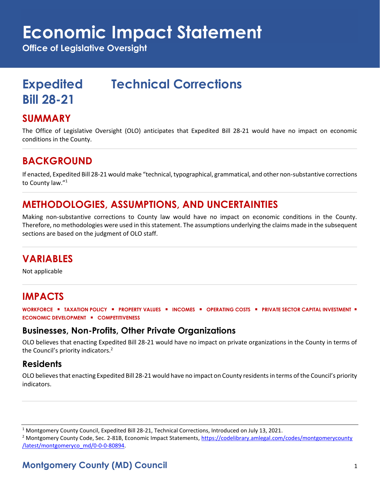# **Economic Impact Statement**

**Office of Legislative Oversight**

## **Expedited Technical Corrections**

### **SUMMARY**

**Bill 28-21**

The Office of Legislative Oversight (OLO) anticipates that Expedited Bill 28-21 would have no impact on economic conditions in the County.

### **BACKGROUND**

If enacted, Expedited Bill 28-21 would make "technical, typographical, grammatical, and other non-substantive corrections to County law."<sup>1</sup>

## **METHODOLOGIES, ASSUMPTIONS, AND UNCERTAINTIES**

Making non-substantive corrections to County law would have no impact on economic conditions in the County. Therefore, no methodologies were used in this statement. The assumptions underlying the claims made in the subsequent sections are based on the judgment of OLO staff.

## **VARIABLES**

Not applicable

## **IMPACTS**

**WORKFORCE** ▪ **TAXATION POLICY** ▪ **PROPERTY VALUES** ▪ **INCOMES** ▪ **OPERATING COSTS** ▪ **PRIVATE SECTOR CAPITAL INVESTMENT** ▪ **ECONOMIC DEVELOPMENT** ▪ **COMPETITIVENESS**

#### **Businesses, Non-Profits, Other Private Organizations**

OLO believes that enacting Expedited Bill 28-21 would have no impact on private organizations in the County in terms of the Council's priority indicators.<sup>2</sup>

#### **Residents**

OLO believes that enacting Expedited Bill 28-21 would have no impact on County residents in terms of the Council's priority indicators.

<sup>1</sup> Montgomery County Council, Expedited Bill 28-21, Technical Corrections, Introduced on July 13, 2021.

<sup>2</sup> Montgomery County Code, Sec. 2-81B, Economic Impact Statements[, https://codelibrary.amlegal.com/codes/montgomerycounty](https://codelibrary.amlegal.com/codes/montgomerycounty/latest/montgomeryco_md/0-0-0-80894) [/latest/montgomeryco\\_md/0-0-0-80894.](https://codelibrary.amlegal.com/codes/montgomerycounty/latest/montgomeryco_md/0-0-0-80894)